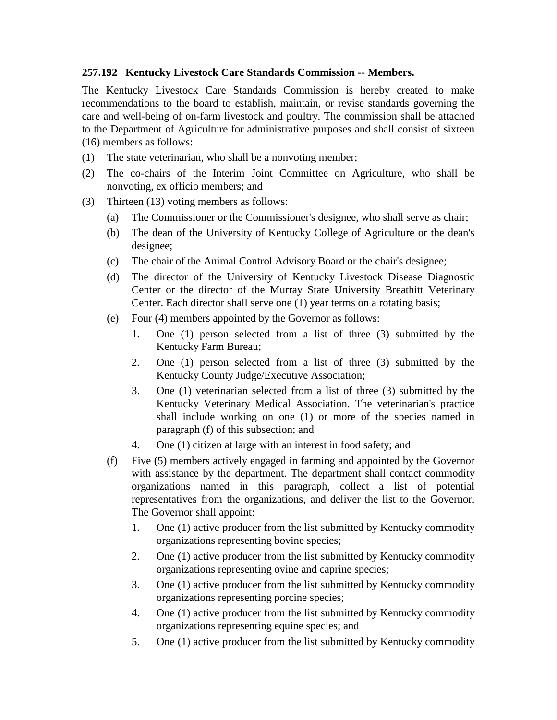## **257.192 Kentucky Livestock Care Standards Commission -- Members.**

The Kentucky Livestock Care Standards Commission is hereby created to make recommendations to the board to establish, maintain, or revise standards governing the care and well-being of on-farm livestock and poultry. The commission shall be attached to the Department of Agriculture for administrative purposes and shall consist of sixteen (16) members as follows:

- (1) The state veterinarian, who shall be a nonvoting member;
- (2) The co-chairs of the Interim Joint Committee on Agriculture, who shall be nonvoting, ex officio members; and
- (3) Thirteen (13) voting members as follows:
	- (a) The Commissioner or the Commissioner's designee, who shall serve as chair;
	- (b) The dean of the University of Kentucky College of Agriculture or the dean's designee;
	- (c) The chair of the Animal Control Advisory Board or the chair's designee;
	- (d) The director of the University of Kentucky Livestock Disease Diagnostic Center or the director of the Murray State University Breathitt Veterinary Center. Each director shall serve one (1) year terms on a rotating basis;
	- (e) Four (4) members appointed by the Governor as follows:
		- 1. One (1) person selected from a list of three (3) submitted by the Kentucky Farm Bureau;
		- 2. One (1) person selected from a list of three (3) submitted by the Kentucky County Judge/Executive Association;
		- 3. One (1) veterinarian selected from a list of three (3) submitted by the Kentucky Veterinary Medical Association. The veterinarian's practice shall include working on one (1) or more of the species named in paragraph (f) of this subsection; and
		- 4. One (1) citizen at large with an interest in food safety; and
	- (f) Five (5) members actively engaged in farming and appointed by the Governor with assistance by the department. The department shall contact commodity organizations named in this paragraph, collect a list of potential representatives from the organizations, and deliver the list to the Governor. The Governor shall appoint:
		- 1. One (1) active producer from the list submitted by Kentucky commodity organizations representing bovine species;
		- 2. One (1) active producer from the list submitted by Kentucky commodity organizations representing ovine and caprine species;
		- 3. One (1) active producer from the list submitted by Kentucky commodity organizations representing porcine species;
		- 4. One (1) active producer from the list submitted by Kentucky commodity organizations representing equine species; and
		- 5. One (1) active producer from the list submitted by Kentucky commodity